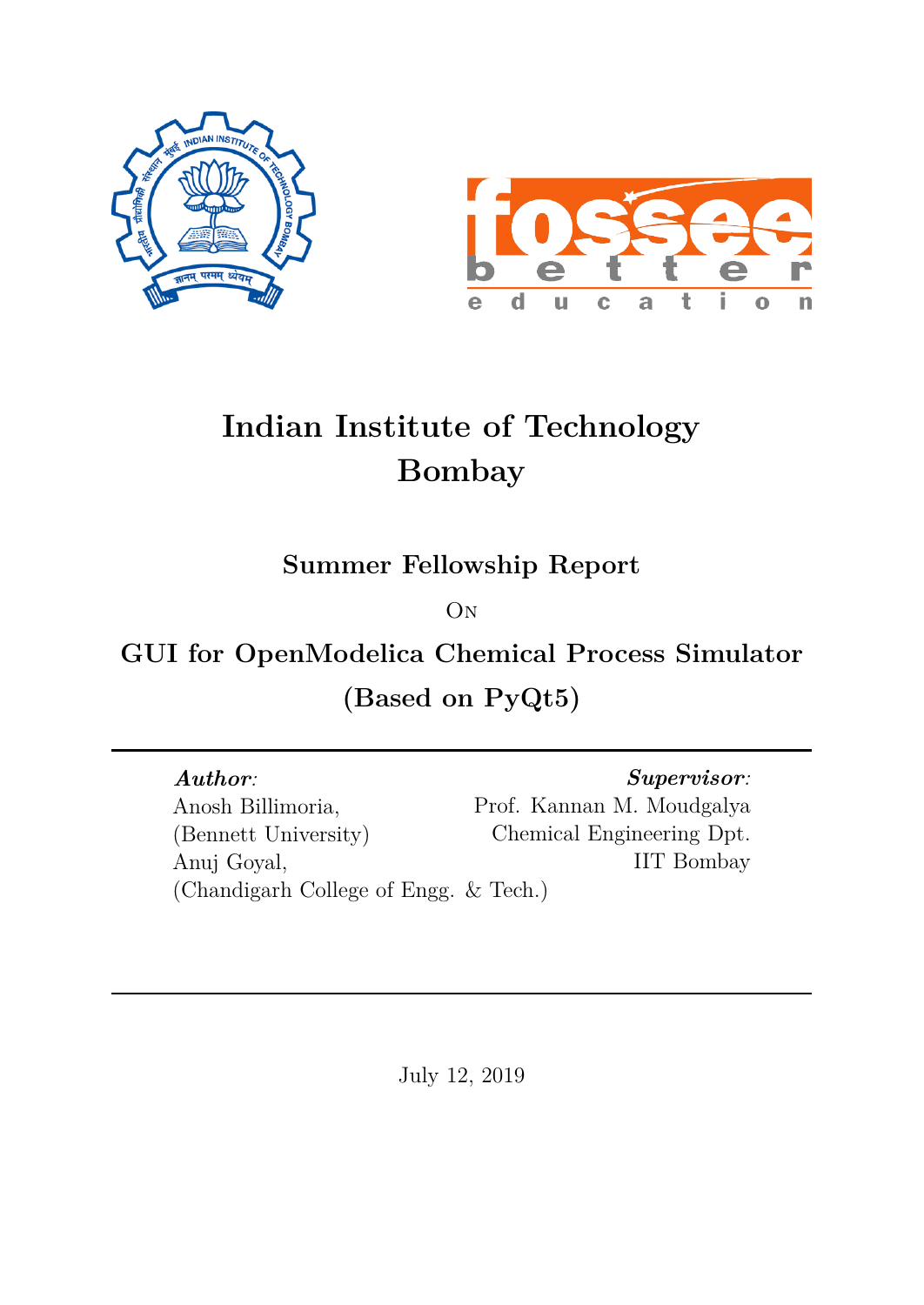



# **Indian Institute of Technology Bombay**

**Summer Fellowship Report**

**O<sub>N</sub>** 

**GUI for OpenModelica Chemical Process Simulator (Based on PyQt5)**

*Author:* Anosh Billimoria, (Bennett University) Anuj Goyal, (Chandigarh College of Engg. & Tech.)

*Supervisor:* Prof. Kannan M. Moudgalya Chemical Engineering Dpt. IIT Bombay

July 12, 2019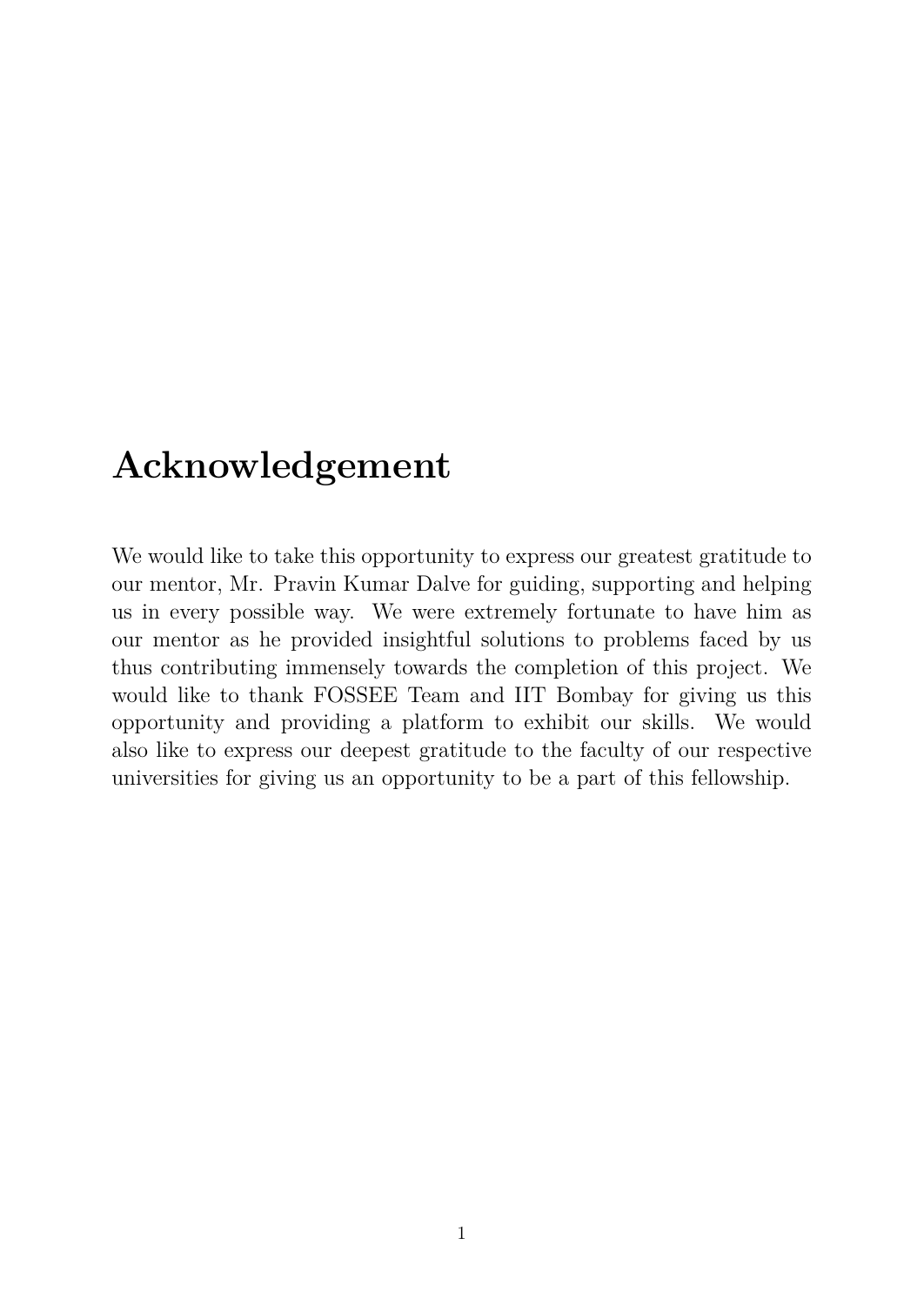# **Acknowledgement**

We would like to take this opportunity to express our greatest gratitude to our mentor, Mr. Pravin Kumar Dalve for guiding, supporting and helping us in every possible way. We were extremely fortunate to have him as our mentor as he provided insightful solutions to problems faced by us thus contributing immensely towards the completion of this project. We would like to thank FOSSEE Team and IIT Bombay for giving us this opportunity and providing a platform to exhibit our skills. We would also like to express our deepest gratitude to the faculty of our respective universities for giving us an opportunity to be a part of this fellowship.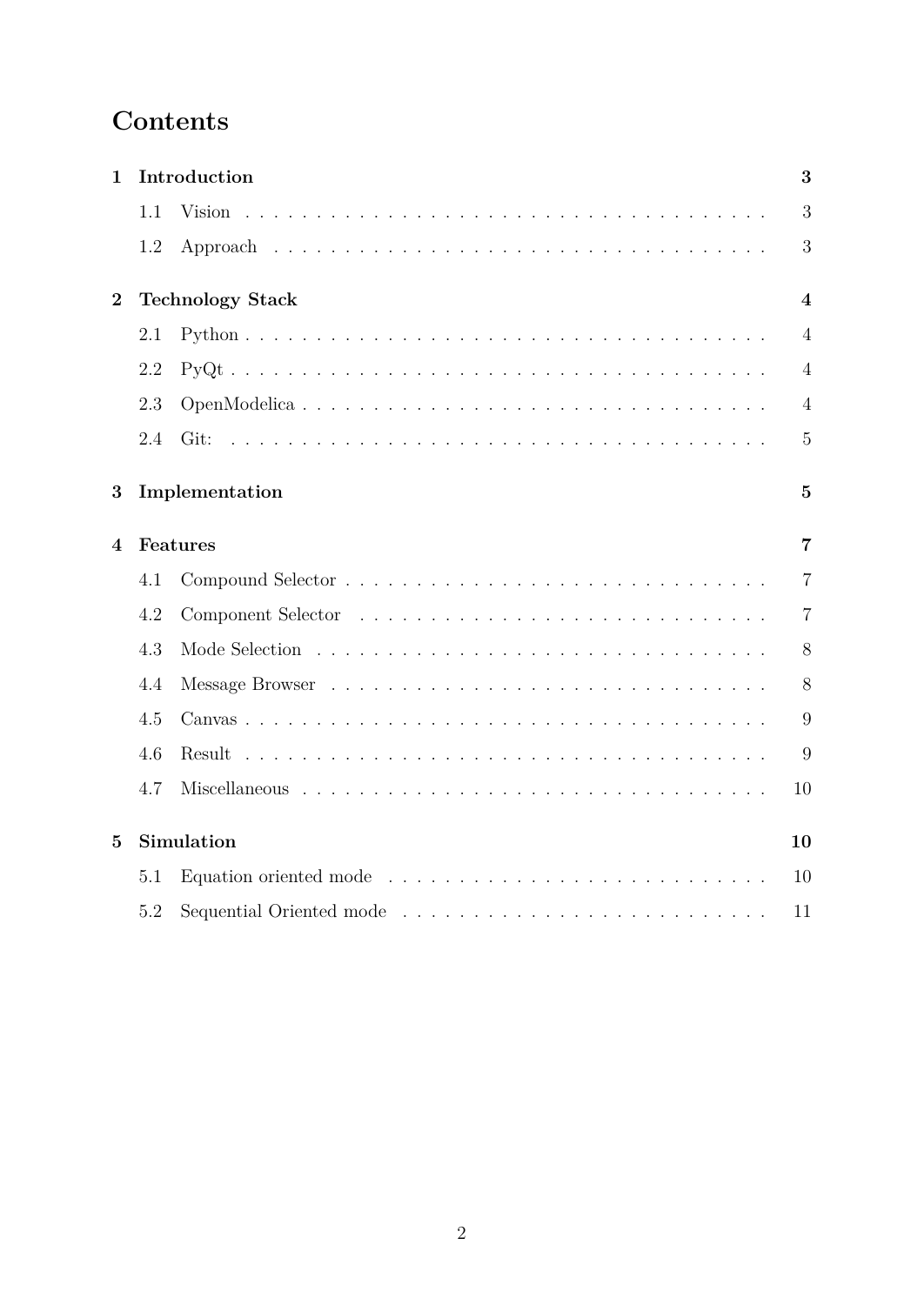# **Contents**

| 1                      | Introduction     |                         |                         |  |  |  |
|------------------------|------------------|-------------------------|-------------------------|--|--|--|
|                        | 1.1              |                         | 3                       |  |  |  |
|                        | 1.2              |                         | 3                       |  |  |  |
| $\overline{2}$         |                  | <b>Technology Stack</b> | $\overline{\mathbf{4}}$ |  |  |  |
|                        | 2.1              |                         | $\overline{4}$          |  |  |  |
|                        | 2.2              |                         | $\overline{4}$          |  |  |  |
|                        | 2.3              |                         | $\overline{4}$          |  |  |  |
|                        | 2.4              | Git:                    | $\overline{5}$          |  |  |  |
| 3                      |                  | Implementation          | $\overline{5}$          |  |  |  |
| $\boldsymbol{\Lambda}$ |                  | Features                | $\overline{7}$          |  |  |  |
|                        | 4.1              |                         | $\overline{7}$          |  |  |  |
|                        | 4.2              |                         | $\overline{7}$          |  |  |  |
|                        | 4.3              |                         | 8                       |  |  |  |
|                        | 4.4              |                         | 8                       |  |  |  |
|                        | 4.5              |                         | 9                       |  |  |  |
|                        | 4.6              | Result                  | 9                       |  |  |  |
|                        | 4.7              |                         | 10                      |  |  |  |
| 5                      | Simulation<br>10 |                         |                         |  |  |  |
|                        | 5.1              |                         | 10                      |  |  |  |
|                        | 5.2              |                         | 11                      |  |  |  |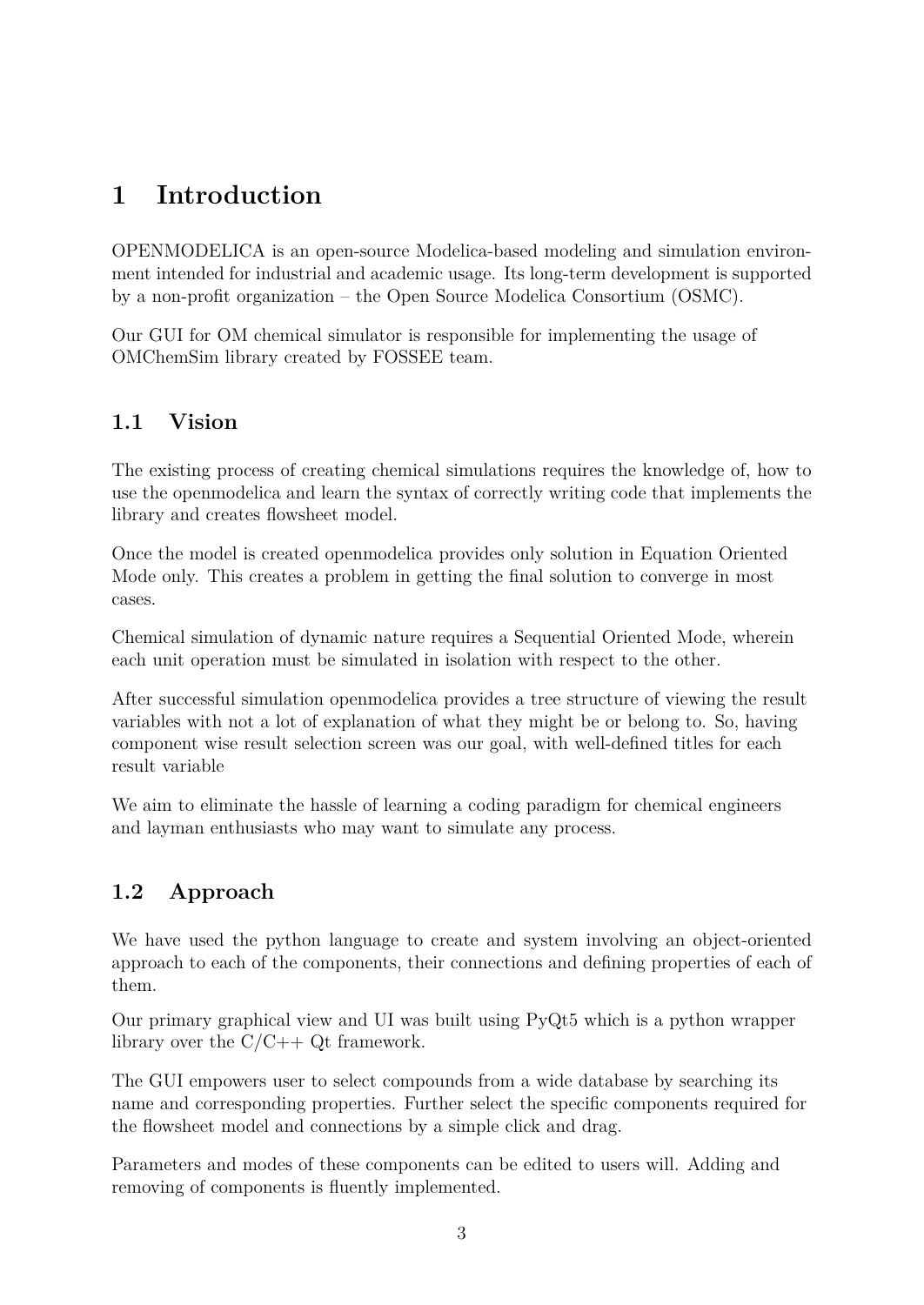# <span id="page-3-0"></span>**1 Introduction**

OPENMODELICA is an open-source Modelica-based modeling and simulation environment intended for industrial and academic usage. Its long-term development is supported by a non-profit organization – the Open Source Modelica Consortium (OSMC).

Our GUI for OM chemical simulator is responsible for implementing the usage of OMChemSim library created by FOSSEE team.

### <span id="page-3-1"></span>**1.1 Vision**

The existing process of creating chemical simulations requires the knowledge of, how to use the openmodelica and learn the syntax of correctly writing code that implements the library and creates flowsheet model.

Once the model is created openmodelica provides only solution in Equation Oriented Mode only. This creates a problem in getting the final solution to converge in most cases.

Chemical simulation of dynamic nature requires a Sequential Oriented Mode, wherein each unit operation must be simulated in isolation with respect to the other.

After successful simulation openmodelica provides a tree structure of viewing the result variables with not a lot of explanation of what they might be or belong to. So, having component wise result selection screen was our goal, with well-defined titles for each result variable

We aim to eliminate the hassle of learning a coding paradigm for chemical engineers and layman enthusiasts who may want to simulate any process.

# <span id="page-3-2"></span>**1.2 Approach**

We have used the python language to create and system involving an object-oriented approach to each of the components, their connections and defining properties of each of them.

Our primary graphical view and UI was built using PyQt5 which is a python wrapper library over the  $C/C++$  Qt framework.

The GUI empowers user to select compounds from a wide database by searching its name and corresponding properties. Further select the specific components required for the flowsheet model and connections by a simple click and drag.

Parameters and modes of these components can be edited to users will. Adding and removing of components is fluently implemented.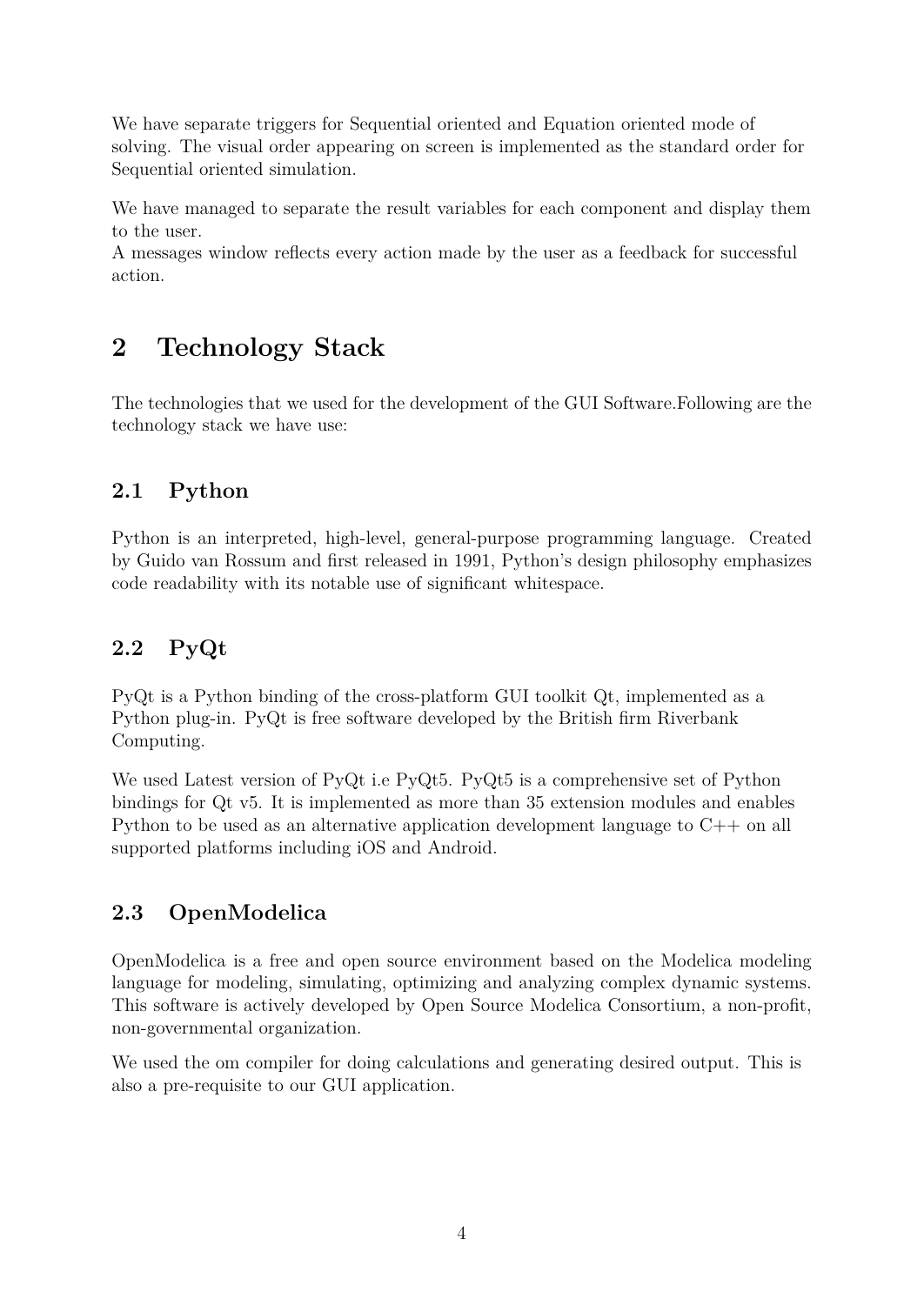We have separate triggers for Sequential oriented and Equation oriented mode of solving. The visual order appearing on screen is implemented as the standard order for Sequential oriented simulation.

We have managed to separate the result variables for each component and display them to the user.

A messages window reflects every action made by the user as a feedback for successful action.

# <span id="page-4-0"></span>**2 Technology Stack**

The technologies that we used for the development of the GUI Software.Following are the technology stack we have use:

### <span id="page-4-1"></span>**2.1 Python**

Python is an interpreted, high-level, general-purpose programming language. Created by Guido van Rossum and first released in 1991, Python's design philosophy emphasizes code readability with its notable use of significant whitespace.

# <span id="page-4-2"></span>**2.2 PyQt**

PyQt is a Python binding of the cross-platform GUI toolkit Qt, implemented as a Python plug-in. PyQt is free software developed by the British firm Riverbank Computing.

We used Latest version of PyQt i.e PyQt5. PyQt5 is a comprehensive set of Python bindings for Qt v5. It is implemented as more than 35 extension modules and enables Python to be used as an alternative application development language to C++ on all supported platforms including iOS and Android.

# <span id="page-4-3"></span>**2.3 OpenModelica**

OpenModelica is a free and open source environment based on the Modelica modeling language for modeling, simulating, optimizing and analyzing complex dynamic systems. This software is actively developed by Open Source Modelica Consortium, a non-profit, non-governmental organization.

We used the om compiler for doing calculations and generating desired output. This is also a pre-requisite to our GUI application.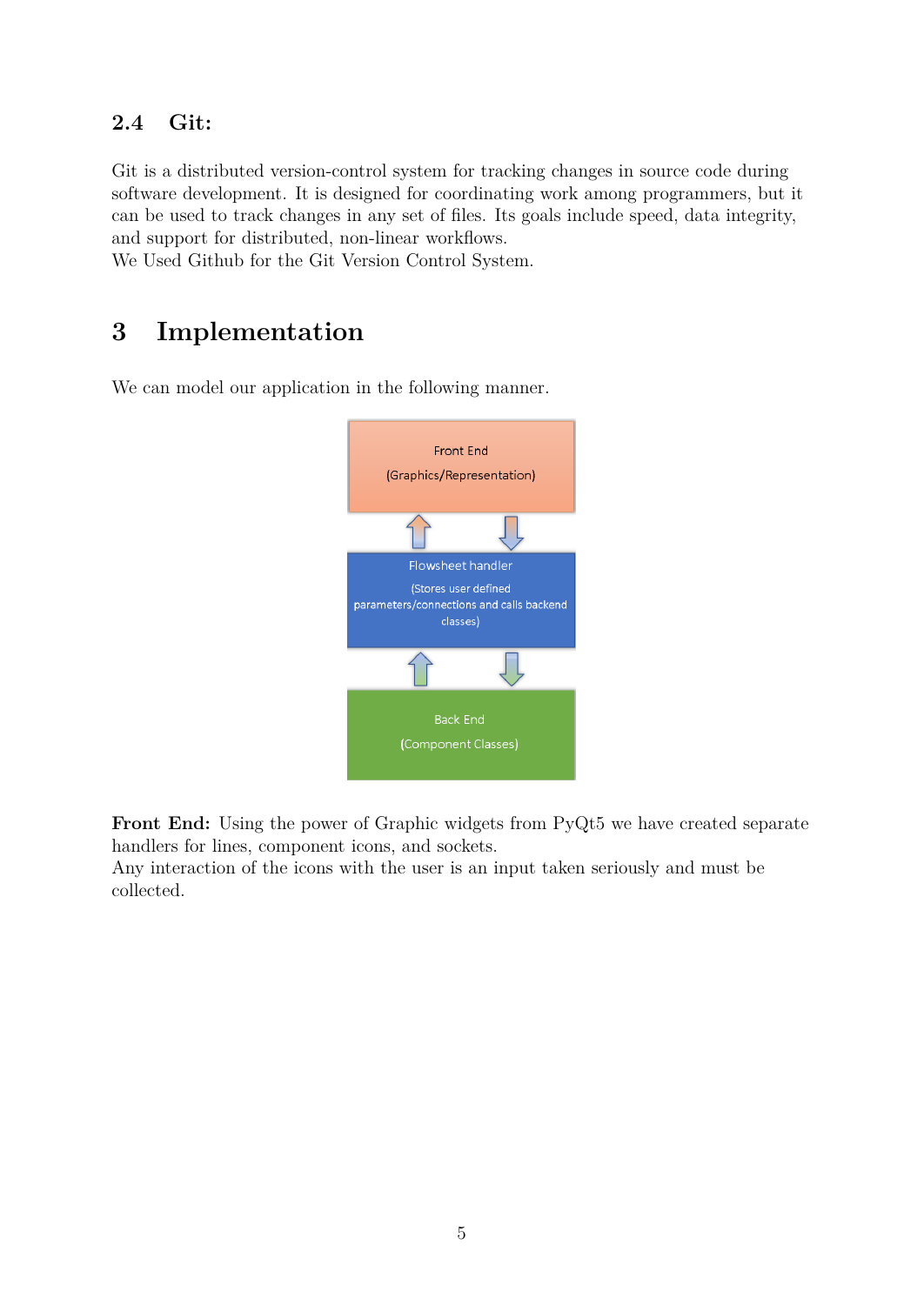### <span id="page-5-0"></span>**2.4 Git:**

Git is a distributed version-control system for tracking changes in source code during software development. It is designed for coordinating work among programmers, but it can be used to track changes in any set of files. Its goals include speed, data integrity, and support for distributed, non-linear workflows.

We Used Github for the Git Version Control System.

# <span id="page-5-1"></span>**3 Implementation**

We can model our application in the following manner.



Front End: Using the power of Graphic widgets from PyQt5 we have created separate handlers for lines, component icons, and sockets.

Any interaction of the icons with the user is an input taken seriously and must be collected.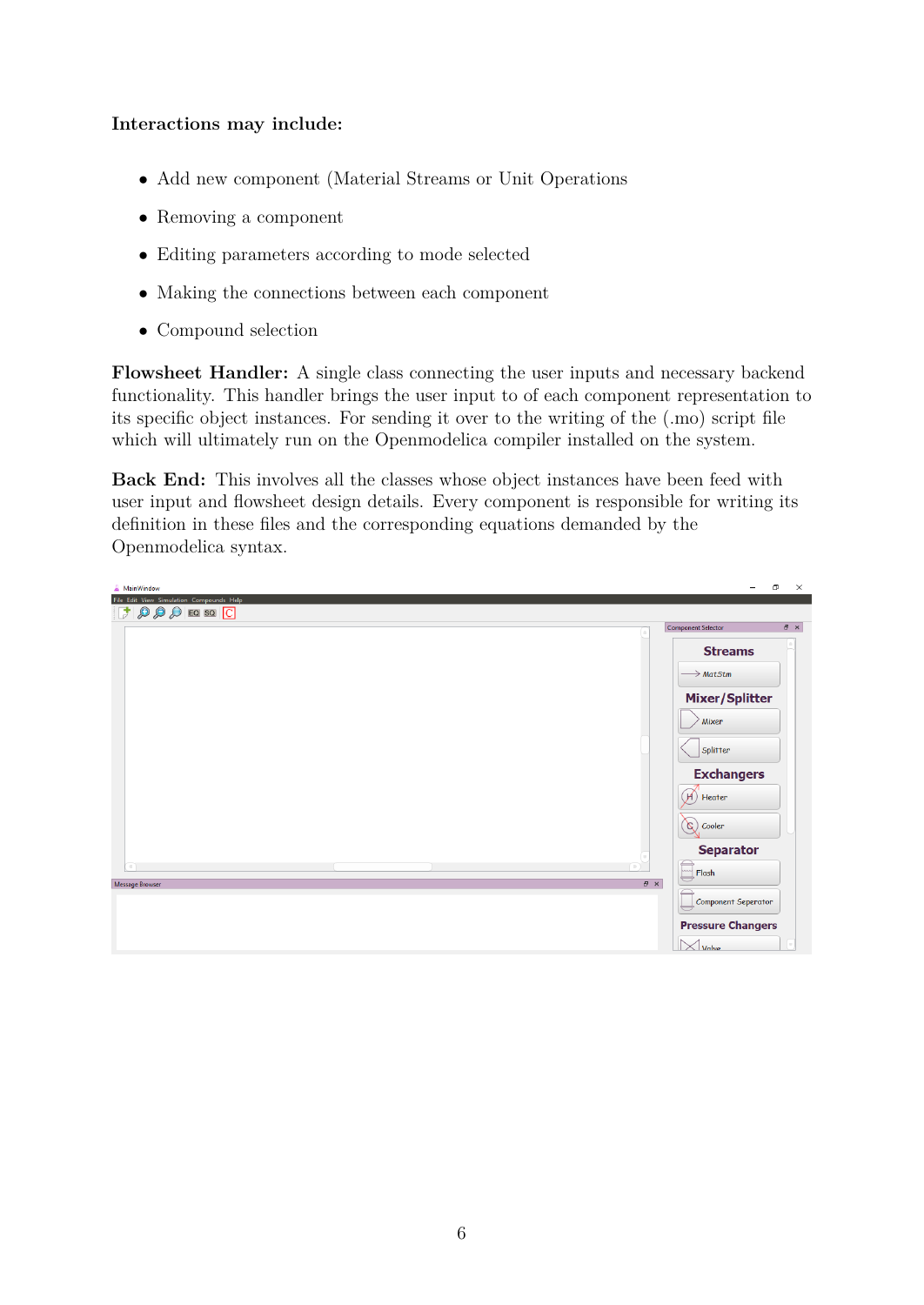#### **Interactions may include:**

- Add new component (Material Streams or Unit Operations
- Removing a component
- Editing parameters according to mode selected
- Making the connections between each component
- Compound selection

**Flowsheet Handler:** A single class connecting the user inputs and necessary backend functionality. This handler brings the user input to of each component representation to its specific object instances. For sending it over to the writing of the (.mo) script file which will ultimately run on the Openmodelica compiler installed on the system.

**Back End:** This involves all the classes whose object instances have been feed with user input and flowsheet design details. Every component is responsible for writing its definition in these files and the corresponding equations demanded by the Openmodelica syntax.

| <b>A</b> MainWindow                                                                                                                                                          | σ<br>$\times$                           |
|------------------------------------------------------------------------------------------------------------------------------------------------------------------------------|-----------------------------------------|
| File Edit View Simulation Compounds Help<br>$\begin{array}{ c c c c c }\hline \textbf{1} & \textbf{0} & \textbf{0} & \textbf{0} & \textbf{0} & \textbf{0}\hline \end{array}$ |                                         |
|                                                                                                                                                                              | $B \times$<br><b>Component Selector</b> |
|                                                                                                                                                                              | <b>Streams</b>                          |
|                                                                                                                                                                              | $\rightarrow$ MatStm                    |
|                                                                                                                                                                              | <b>Mixer/Splitter</b>                   |
|                                                                                                                                                                              | Mixer                                   |
|                                                                                                                                                                              | Splitter                                |
|                                                                                                                                                                              | <b>Exchangers</b>                       |
|                                                                                                                                                                              | $\mathcal{A}$<br>Heater                 |
|                                                                                                                                                                              | $\infty$ Cooler                         |
|                                                                                                                                                                              | <b>Separator</b>                        |
| пT<br>(m)<br>$\bar{\sigma}$ $\times$<br><b>Message Browser</b>                                                                                                               | $\sqrt{m}$ Flash                        |
|                                                                                                                                                                              | <b>Component Seperator</b>              |
|                                                                                                                                                                              | <b>Pressure Changers</b>                |
|                                                                                                                                                                              | $\times$ Valve                          |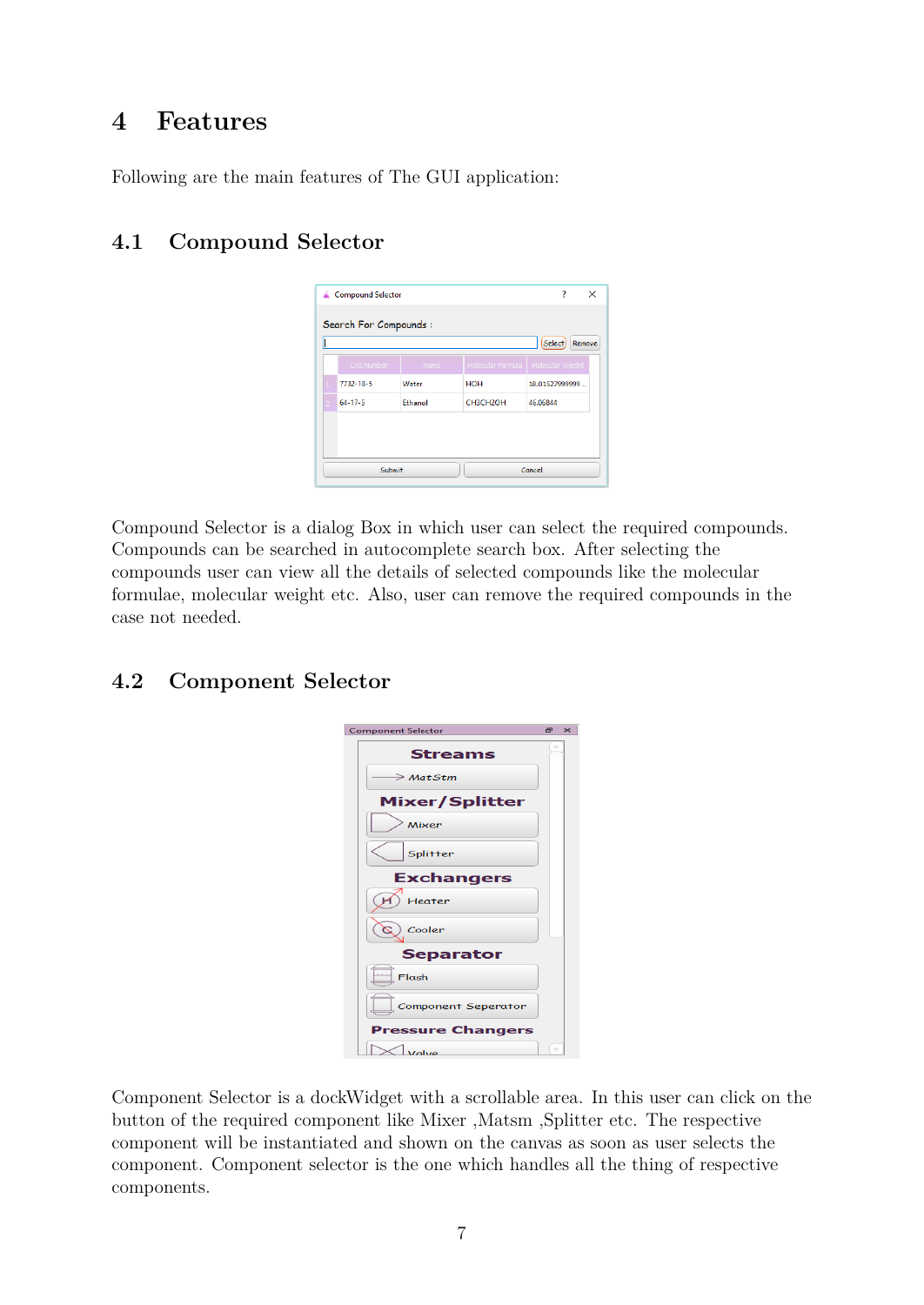# <span id="page-7-0"></span>**4 Features**

Following are the main features of The GUI application:

# <span id="page-7-1"></span>**4.1 Compound Selector**

|                                                         | Compound Selector |         |            | 7<br>$\times$                        |  |  |  |  |
|---------------------------------------------------------|-------------------|---------|------------|--------------------------------------|--|--|--|--|
| <b>Search For Compounds:</b><br><b>Select</b><br>Remove |                   |         |            |                                      |  |  |  |  |
|                                                         | CAS Number        | Name    |            | Molecular Formula   Molecular Weight |  |  |  |  |
|                                                         | 7732-18-5         | Water   | <b>HOH</b> | 18.01527999999                       |  |  |  |  |
|                                                         | $64 - 17 - 5$     | Ethanol | CH3CH2OH   | 46.06844                             |  |  |  |  |
|                                                         |                   |         |            |                                      |  |  |  |  |
| Submit<br>Cancel                                        |                   |         |            |                                      |  |  |  |  |

Compound Selector is a dialog Box in which user can select the required compounds. Compounds can be searched in autocomplete search box. After selecting the compounds user can view all the details of selected compounds like the molecular formulae, molecular weight etc. Also, user can remove the required compounds in the case not needed.

# <span id="page-7-2"></span>**4.2 Component Selector**

| <b>Component Selector</b> | Ð                        | $\times$ |
|---------------------------|--------------------------|----------|
| <b>Streams</b>            |                          |          |
| $\rightarrow$ MatStm      |                          |          |
| <b>Mixer/Splitter</b>     |                          |          |
| Mixer                     |                          |          |
| Splitter                  |                          |          |
| <b>Exchangers</b>         |                          |          |
| Heater                    |                          |          |
| Cooler                    |                          |          |
| <b>Separator</b>          |                          |          |
| Flash                     |                          |          |
| Component Seperator       |                          |          |
| <b>Pressure Changers</b>  |                          |          |
| Valve                     | $\overline{\phantom{a}}$ |          |

Component Selector is a dockWidget with a scrollable area. In this user can click on the button of the required component like Mixer ,Matsm ,Splitter etc. The respective component will be instantiated and shown on the canvas as soon as user selects the component. Component selector is the one which handles all the thing of respective components.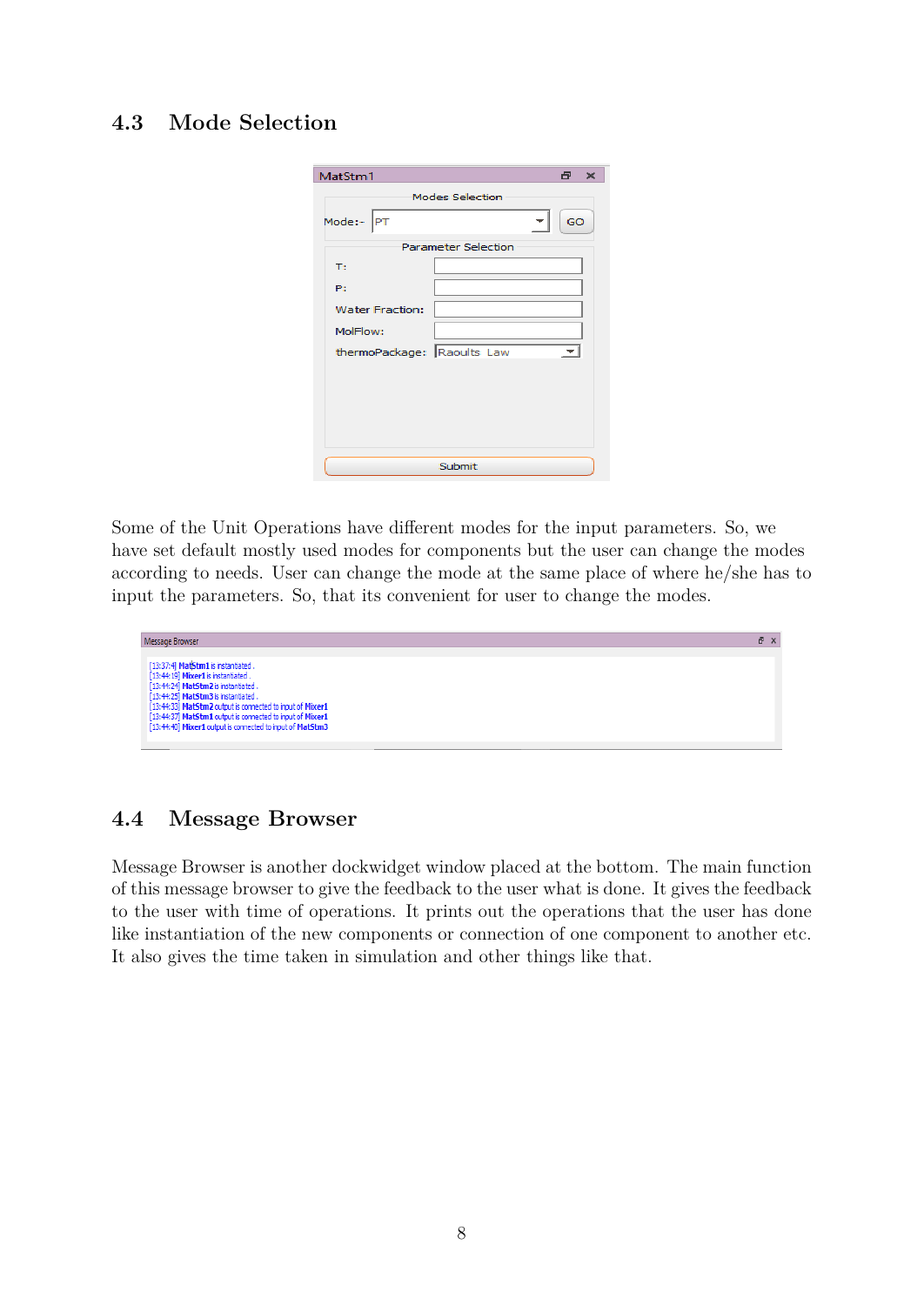### <span id="page-8-0"></span>**4.3 Mode Selection**

| MatStm1                    |        | æ. | $\mathbf{\times}$ |  |  |  |  |
|----------------------------|--------|----|-------------------|--|--|--|--|
| <b>Modes Selection</b>     |        |    |                   |  |  |  |  |
| Mode:-<br><b>PT</b>        | GO     |    |                   |  |  |  |  |
| <b>Parameter Selection</b> |        |    |                   |  |  |  |  |
| T:                         |        |    |                   |  |  |  |  |
| P:                         |        |    |                   |  |  |  |  |
| <b>Water Fraction:</b>     |        |    |                   |  |  |  |  |
| MolFlow:                   |        |    |                   |  |  |  |  |
| thermoPackage: Raoults Law |        |    |                   |  |  |  |  |
|                            |        |    |                   |  |  |  |  |
|                            |        |    |                   |  |  |  |  |
|                            |        |    |                   |  |  |  |  |
|                            |        |    |                   |  |  |  |  |
|                            | Submit |    |                   |  |  |  |  |

Some of the Unit Operations have different modes for the input parameters. So, we have set default mostly used modes for components but the user can change the modes according to needs. User can change the mode at the same place of where he/she has to input the parameters. So, that its convenient for user to change the modes.



### <span id="page-8-1"></span>**4.4 Message Browser**

Message Browser is another dockwidget window placed at the bottom. The main function of this message browser to give the feedback to the user what is done. It gives the feedback to the user with time of operations. It prints out the operations that the user has done like instantiation of the new components or connection of one component to another etc. It also gives the time taken in simulation and other things like that.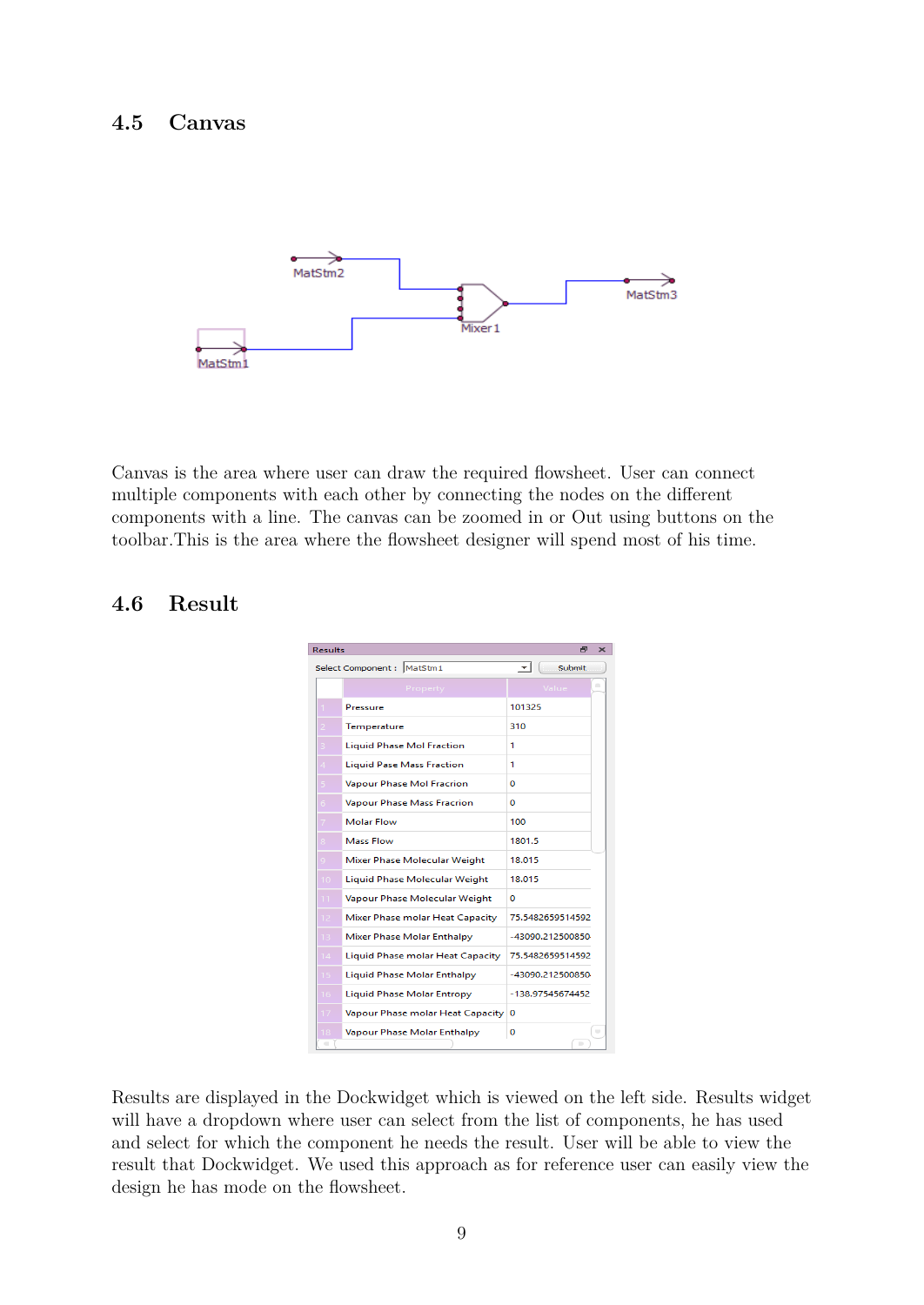#### <span id="page-9-0"></span>**4.5 Canvas**



Canvas is the area where user can draw the required flowsheet. User can connect multiple components with each other by connecting the nodes on the different components with a line. The canvas can be zoomed in or Out using buttons on the toolbar.This is the area where the flowsheet designer will spend most of his time.

#### <span id="page-9-1"></span>**4.6 Result**



Results are displayed in the Dockwidget which is viewed on the left side. Results widget will have a dropdown where user can select from the list of components, he has used and select for which the component he needs the result. User will be able to view the result that Dockwidget. We used this approach as for reference user can easily view the design he has mode on the flowsheet.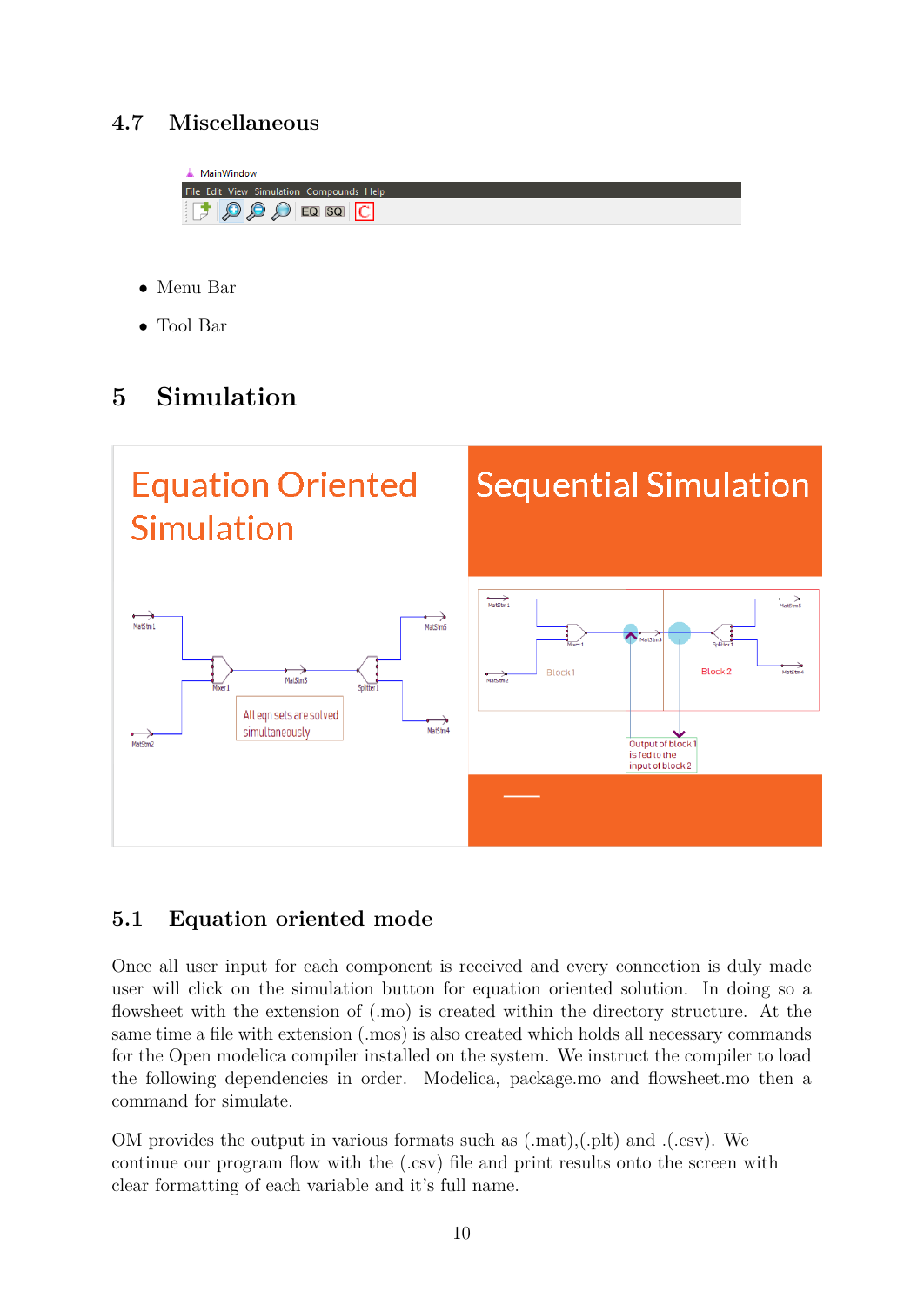# <span id="page-10-0"></span>**4.7 Miscellaneous**



- Menu Bar
- Tool Bar

# <span id="page-10-1"></span>**5 Simulation**



# <span id="page-10-2"></span>**5.1 Equation oriented mode**

Once all user input for each component is received and every connection is duly made user will click on the simulation button for equation oriented solution. In doing so a flowsheet with the extension of (.mo) is created within the directory structure. At the same time a file with extension (.mos) is also created which holds all necessary commands for the Open modelica compiler installed on the system. We instruct the compiler to load the following dependencies in order. Modelica, package.mo and flowsheet.mo then a command for simulate.

OM provides the output in various formats such as (.mat),(.plt) and .(.csv). We continue our program flow with the (.csv) file and print results onto the screen with clear formatting of each variable and it's full name.